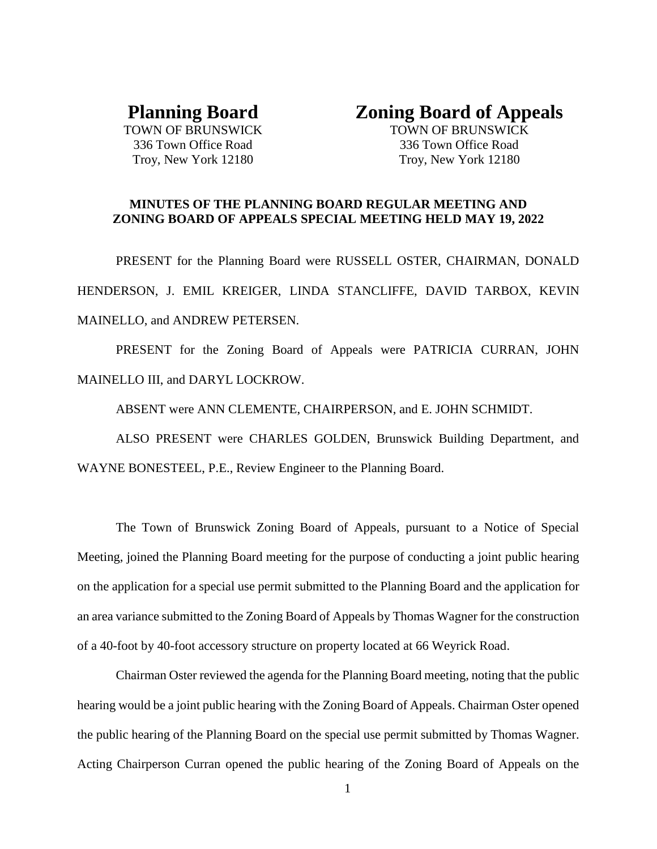# **Planning Board**

TOWN OF BRUNSWICK 336 Town Office Road Troy, New York 12180

# **Zoning Board of Appeals**

TOWN OF BRUNSWICK 336 Town Office Road Troy, New York 12180

## **MINUTES OF THE PLANNING BOARD REGULAR MEETING AND ZONING BOARD OF APPEALS SPECIAL MEETING HELD MAY 19, 2022**

PRESENT for the Planning Board were RUSSELL OSTER, CHAIRMAN, DONALD HENDERSON, J. EMIL KREIGER, LINDA STANCLIFFE, DAVID TARBOX, KEVIN MAINELLO, and ANDREW PETERSEN.

PRESENT for the Zoning Board of Appeals were PATRICIA CURRAN, JOHN MAINELLO III, and DARYL LOCKROW.

ABSENT were ANN CLEMENTE, CHAIRPERSON, and E. JOHN SCHMIDT.

ALSO PRESENT were CHARLES GOLDEN, Brunswick Building Department, and WAYNE BONESTEEL, P.E., Review Engineer to the Planning Board.

The Town of Brunswick Zoning Board of Appeals, pursuant to a Notice of Special Meeting, joined the Planning Board meeting for the purpose of conducting a joint public hearing on the application for a special use permit submitted to the Planning Board and the application for an area variance submitted to the Zoning Board of Appeals by Thomas Wagner for the construction of a 40-foot by 40-foot accessory structure on property located at 66 Weyrick Road.

Chairman Oster reviewed the agenda for the Planning Board meeting, noting that the public hearing would be a joint public hearing with the Zoning Board of Appeals. Chairman Oster opened the public hearing of the Planning Board on the special use permit submitted by Thomas Wagner. Acting Chairperson Curran opened the public hearing of the Zoning Board of Appeals on the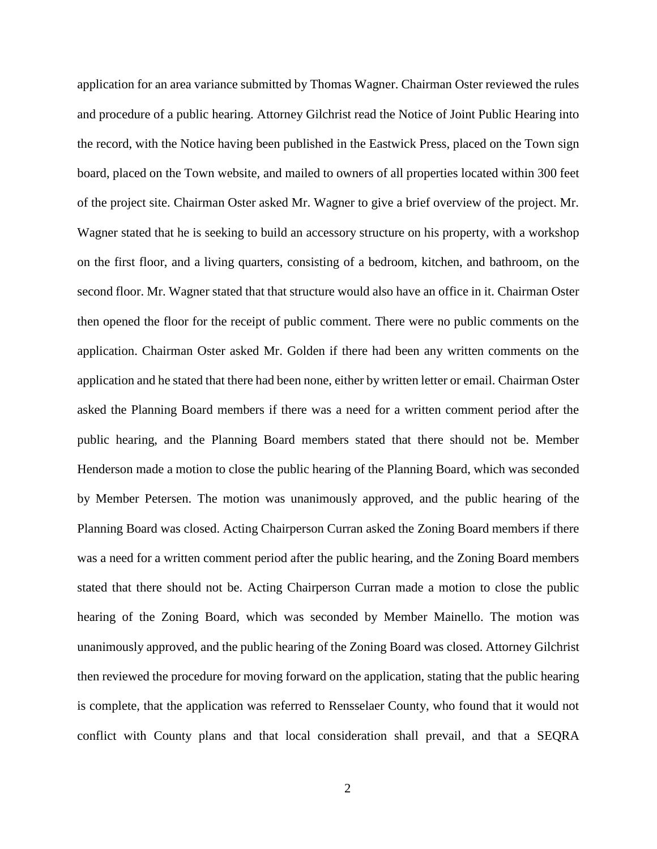application for an area variance submitted by Thomas Wagner. Chairman Oster reviewed the rules and procedure of a public hearing. Attorney Gilchrist read the Notice of Joint Public Hearing into the record, with the Notice having been published in the Eastwick Press, placed on the Town sign board, placed on the Town website, and mailed to owners of all properties located within 300 feet of the project site. Chairman Oster asked Mr. Wagner to give a brief overview of the project. Mr. Wagner stated that he is seeking to build an accessory structure on his property, with a workshop on the first floor, and a living quarters, consisting of a bedroom, kitchen, and bathroom, on the second floor. Mr. Wagner stated that that structure would also have an office in it. Chairman Oster then opened the floor for the receipt of public comment. There were no public comments on the application. Chairman Oster asked Mr. Golden if there had been any written comments on the application and he stated that there had been none, either by written letter or email. Chairman Oster asked the Planning Board members if there was a need for a written comment period after the public hearing, and the Planning Board members stated that there should not be. Member Henderson made a motion to close the public hearing of the Planning Board, which was seconded by Member Petersen. The motion was unanimously approved, and the public hearing of the Planning Board was closed. Acting Chairperson Curran asked the Zoning Board members if there was a need for a written comment period after the public hearing, and the Zoning Board members stated that there should not be. Acting Chairperson Curran made a motion to close the public hearing of the Zoning Board, which was seconded by Member Mainello. The motion was unanimously approved, and the public hearing of the Zoning Board was closed. Attorney Gilchrist then reviewed the procedure for moving forward on the application, stating that the public hearing is complete, that the application was referred to Rensselaer County, who found that it would not conflict with County plans and that local consideration shall prevail, and that a SEQRA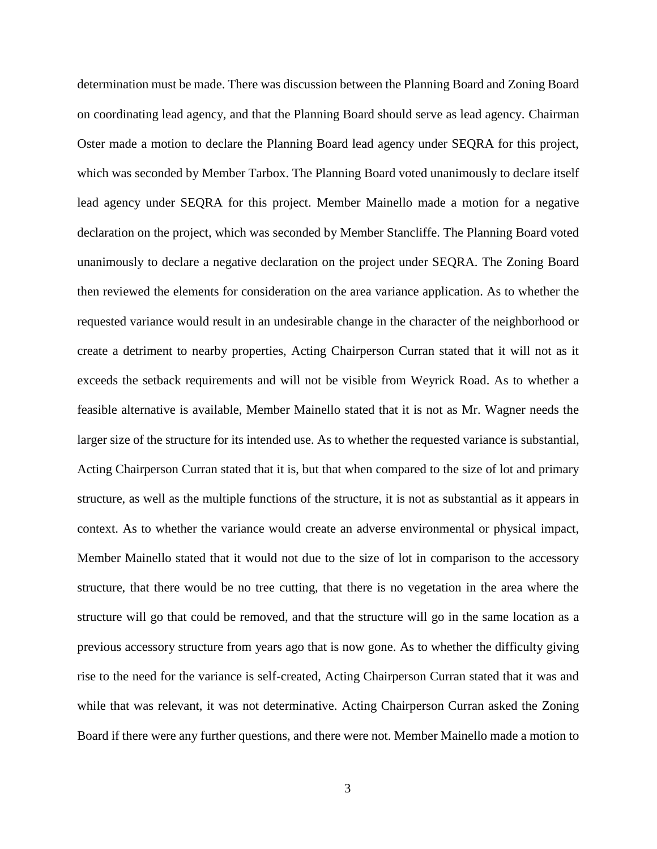determination must be made. There was discussion between the Planning Board and Zoning Board on coordinating lead agency, and that the Planning Board should serve as lead agency. Chairman Oster made a motion to declare the Planning Board lead agency under SEQRA for this project, which was seconded by Member Tarbox. The Planning Board voted unanimously to declare itself lead agency under SEQRA for this project. Member Mainello made a motion for a negative declaration on the project, which was seconded by Member Stancliffe. The Planning Board voted unanimously to declare a negative declaration on the project under SEQRA. The Zoning Board then reviewed the elements for consideration on the area variance application. As to whether the requested variance would result in an undesirable change in the character of the neighborhood or create a detriment to nearby properties, Acting Chairperson Curran stated that it will not as it exceeds the setback requirements and will not be visible from Weyrick Road. As to whether a feasible alternative is available, Member Mainello stated that it is not as Mr. Wagner needs the larger size of the structure for its intended use. As to whether the requested variance is substantial, Acting Chairperson Curran stated that it is, but that when compared to the size of lot and primary structure, as well as the multiple functions of the structure, it is not as substantial as it appears in context. As to whether the variance would create an adverse environmental or physical impact, Member Mainello stated that it would not due to the size of lot in comparison to the accessory structure, that there would be no tree cutting, that there is no vegetation in the area where the structure will go that could be removed, and that the structure will go in the same location as a previous accessory structure from years ago that is now gone. As to whether the difficulty giving rise to the need for the variance is self-created, Acting Chairperson Curran stated that it was and while that was relevant, it was not determinative. Acting Chairperson Curran asked the Zoning Board if there were any further questions, and there were not. Member Mainello made a motion to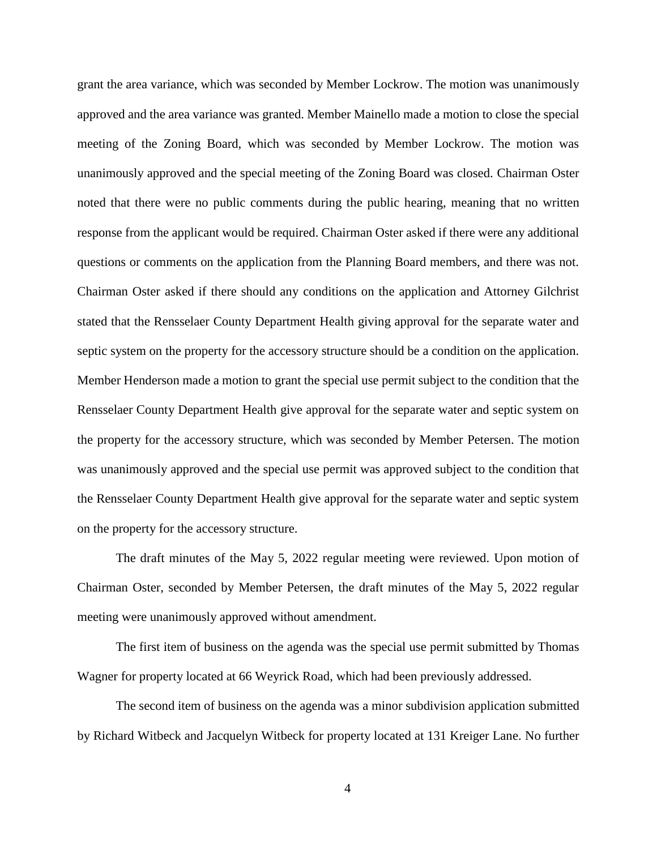grant the area variance, which was seconded by Member Lockrow. The motion was unanimously approved and the area variance was granted. Member Mainello made a motion to close the special meeting of the Zoning Board, which was seconded by Member Lockrow. The motion was unanimously approved and the special meeting of the Zoning Board was closed. Chairman Oster noted that there were no public comments during the public hearing, meaning that no written response from the applicant would be required. Chairman Oster asked if there were any additional questions or comments on the application from the Planning Board members, and there was not. Chairman Oster asked if there should any conditions on the application and Attorney Gilchrist stated that the Rensselaer County Department Health giving approval for the separate water and septic system on the property for the accessory structure should be a condition on the application. Member Henderson made a motion to grant the special use permit subject to the condition that the Rensselaer County Department Health give approval for the separate water and septic system on the property for the accessory structure, which was seconded by Member Petersen. The motion was unanimously approved and the special use permit was approved subject to the condition that the Rensselaer County Department Health give approval for the separate water and septic system on the property for the accessory structure.

The draft minutes of the May 5, 2022 regular meeting were reviewed. Upon motion of Chairman Oster, seconded by Member Petersen, the draft minutes of the May 5, 2022 regular meeting were unanimously approved without amendment.

The first item of business on the agenda was the special use permit submitted by Thomas Wagner for property located at 66 Weyrick Road, which had been previously addressed.

The second item of business on the agenda was a minor subdivision application submitted by Richard Witbeck and Jacquelyn Witbeck for property located at 131 Kreiger Lane. No further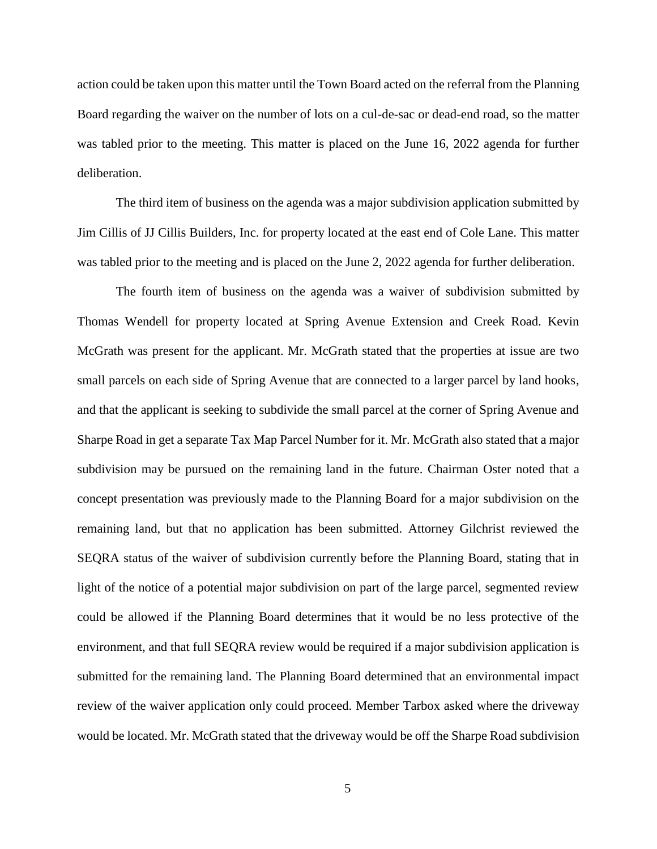action could be taken upon this matter until the Town Board acted on the referral from the Planning Board regarding the waiver on the number of lots on a cul-de-sac or dead-end road, so the matter was tabled prior to the meeting. This matter is placed on the June 16, 2022 agenda for further deliberation.

The third item of business on the agenda was a major subdivision application submitted by Jim Cillis of JJ Cillis Builders, Inc. for property located at the east end of Cole Lane. This matter was tabled prior to the meeting and is placed on the June 2, 2022 agenda for further deliberation.

The fourth item of business on the agenda was a waiver of subdivision submitted by Thomas Wendell for property located at Spring Avenue Extension and Creek Road. Kevin McGrath was present for the applicant. Mr. McGrath stated that the properties at issue are two small parcels on each side of Spring Avenue that are connected to a larger parcel by land hooks, and that the applicant is seeking to subdivide the small parcel at the corner of Spring Avenue and Sharpe Road in get a separate Tax Map Parcel Number for it. Mr. McGrath also stated that a major subdivision may be pursued on the remaining land in the future. Chairman Oster noted that a concept presentation was previously made to the Planning Board for a major subdivision on the remaining land, but that no application has been submitted. Attorney Gilchrist reviewed the SEQRA status of the waiver of subdivision currently before the Planning Board, stating that in light of the notice of a potential major subdivision on part of the large parcel, segmented review could be allowed if the Planning Board determines that it would be no less protective of the environment, and that full SEQRA review would be required if a major subdivision application is submitted for the remaining land. The Planning Board determined that an environmental impact review of the waiver application only could proceed. Member Tarbox asked where the driveway would be located. Mr. McGrath stated that the driveway would be off the Sharpe Road subdivision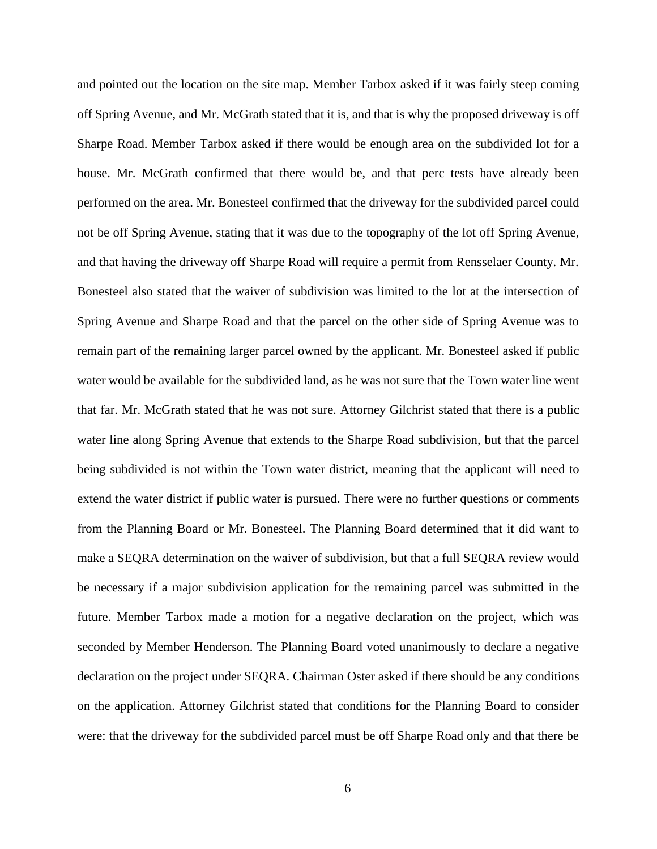and pointed out the location on the site map. Member Tarbox asked if it was fairly steep coming off Spring Avenue, and Mr. McGrath stated that it is, and that is why the proposed driveway is off Sharpe Road. Member Tarbox asked if there would be enough area on the subdivided lot for a house. Mr. McGrath confirmed that there would be, and that perc tests have already been performed on the area. Mr. Bonesteel confirmed that the driveway for the subdivided parcel could not be off Spring Avenue, stating that it was due to the topography of the lot off Spring Avenue, and that having the driveway off Sharpe Road will require a permit from Rensselaer County. Mr. Bonesteel also stated that the waiver of subdivision was limited to the lot at the intersection of Spring Avenue and Sharpe Road and that the parcel on the other side of Spring Avenue was to remain part of the remaining larger parcel owned by the applicant. Mr. Bonesteel asked if public water would be available for the subdivided land, as he was not sure that the Town water line went that far. Mr. McGrath stated that he was not sure. Attorney Gilchrist stated that there is a public water line along Spring Avenue that extends to the Sharpe Road subdivision, but that the parcel being subdivided is not within the Town water district, meaning that the applicant will need to extend the water district if public water is pursued. There were no further questions or comments from the Planning Board or Mr. Bonesteel. The Planning Board determined that it did want to make a SEQRA determination on the waiver of subdivision, but that a full SEQRA review would be necessary if a major subdivision application for the remaining parcel was submitted in the future. Member Tarbox made a motion for a negative declaration on the project, which was seconded by Member Henderson. The Planning Board voted unanimously to declare a negative declaration on the project under SEQRA. Chairman Oster asked if there should be any conditions on the application. Attorney Gilchrist stated that conditions for the Planning Board to consider were: that the driveway for the subdivided parcel must be off Sharpe Road only and that there be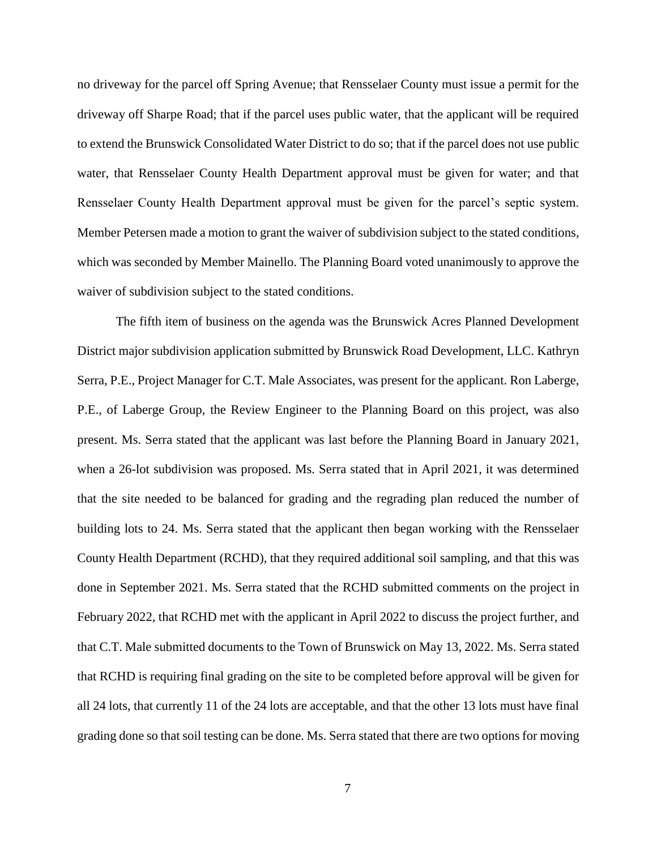no driveway for the parcel off Spring Avenue; that Rensselaer County must issue a permit for the driveway off Sharpe Road; that if the parcel uses public water, that the applicant will be required to extend the Brunswick Consolidated Water District to do so; that if the parcel does not use public water, that Rensselaer County Health Department approval must be given for water; and that Rensselaer County Health Department approval must be given for the parcel's septic system. Member Petersen made a motion to grant the waiver of subdivision subject to the stated conditions, which was seconded by Member Mainello. The Planning Board voted unanimously to approve the waiver of subdivision subject to the stated conditions.

The fifth item of business on the agenda was the Brunswick Acres Planned Development District major subdivision application submitted by Brunswick Road Development, LLC. Kathryn Serra, P.E., Project Manager for C.T. Male Associates, was present for the applicant. Ron Laberge, P.E., of Laberge Group, the Review Engineer to the Planning Board on this project, was also present. Ms. Serra stated that the applicant was last before the Planning Board in January 2021, when a 26-lot subdivision was proposed. Ms. Serra stated that in April 2021, it was determined that the site needed to be balanced for grading and the regrading plan reduced the number of building lots to 24. Ms. Serra stated that the applicant then began working with the Rensselaer County Health Department (RCHD), that they required additional soil sampling, and that this was done in September 2021. Ms. Serra stated that the RCHD submitted comments on the project in February 2022, that RCHD met with the applicant in April 2022 to discuss the project further, and that C.T. Male submitted documents to the Town of Brunswick on May 13, 2022. Ms. Serra stated that RCHD is requiring final grading on the site to be completed before approval will be given for all 24 lots, that currently 11 of the 24 lots are acceptable, and that the other 13 lots must have final grading done so that soil testing can be done. Ms. Serra stated that there are two options for moving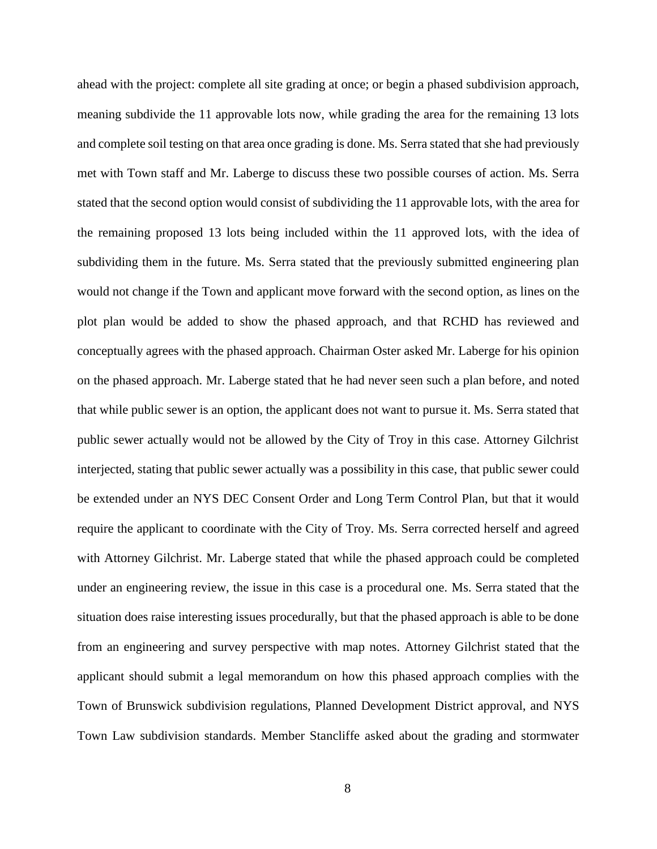ahead with the project: complete all site grading at once; or begin a phased subdivision approach, meaning subdivide the 11 approvable lots now, while grading the area for the remaining 13 lots and complete soil testing on that area once grading is done. Ms. Serra stated that she had previously met with Town staff and Mr. Laberge to discuss these two possible courses of action. Ms. Serra stated that the second option would consist of subdividing the 11 approvable lots, with the area for the remaining proposed 13 lots being included within the 11 approved lots, with the idea of subdividing them in the future. Ms. Serra stated that the previously submitted engineering plan would not change if the Town and applicant move forward with the second option, as lines on the plot plan would be added to show the phased approach, and that RCHD has reviewed and conceptually agrees with the phased approach. Chairman Oster asked Mr. Laberge for his opinion on the phased approach. Mr. Laberge stated that he had never seen such a plan before, and noted that while public sewer is an option, the applicant does not want to pursue it. Ms. Serra stated that public sewer actually would not be allowed by the City of Troy in this case. Attorney Gilchrist interjected, stating that public sewer actually was a possibility in this case, that public sewer could be extended under an NYS DEC Consent Order and Long Term Control Plan, but that it would require the applicant to coordinate with the City of Troy. Ms. Serra corrected herself and agreed with Attorney Gilchrist. Mr. Laberge stated that while the phased approach could be completed under an engineering review, the issue in this case is a procedural one. Ms. Serra stated that the situation does raise interesting issues procedurally, but that the phased approach is able to be done from an engineering and survey perspective with map notes. Attorney Gilchrist stated that the applicant should submit a legal memorandum on how this phased approach complies with the Town of Brunswick subdivision regulations, Planned Development District approval, and NYS Town Law subdivision standards. Member Stancliffe asked about the grading and stormwater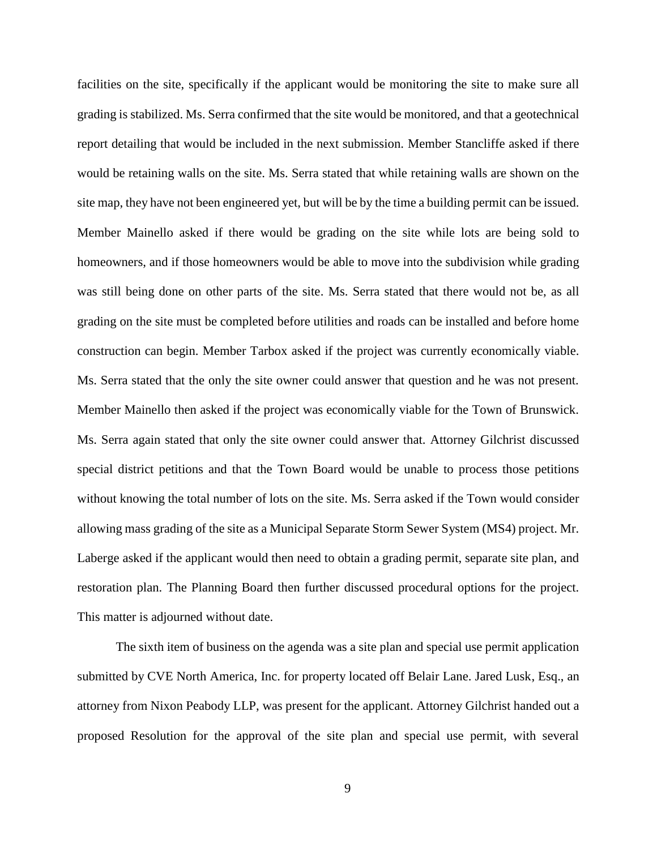facilities on the site, specifically if the applicant would be monitoring the site to make sure all grading is stabilized. Ms. Serra confirmed that the site would be monitored, and that a geotechnical report detailing that would be included in the next submission. Member Stancliffe asked if there would be retaining walls on the site. Ms. Serra stated that while retaining walls are shown on the site map, they have not been engineered yet, but will be by the time a building permit can be issued. Member Mainello asked if there would be grading on the site while lots are being sold to homeowners, and if those homeowners would be able to move into the subdivision while grading was still being done on other parts of the site. Ms. Serra stated that there would not be, as all grading on the site must be completed before utilities and roads can be installed and before home construction can begin. Member Tarbox asked if the project was currently economically viable. Ms. Serra stated that the only the site owner could answer that question and he was not present. Member Mainello then asked if the project was economically viable for the Town of Brunswick. Ms. Serra again stated that only the site owner could answer that. Attorney Gilchrist discussed special district petitions and that the Town Board would be unable to process those petitions without knowing the total number of lots on the site. Ms. Serra asked if the Town would consider allowing mass grading of the site as a Municipal Separate Storm Sewer System (MS4) project. Mr. Laberge asked if the applicant would then need to obtain a grading permit, separate site plan, and restoration plan. The Planning Board then further discussed procedural options for the project. This matter is adjourned without date.

The sixth item of business on the agenda was a site plan and special use permit application submitted by CVE North America, Inc. for property located off Belair Lane. Jared Lusk, Esq., an attorney from Nixon Peabody LLP, was present for the applicant. Attorney Gilchrist handed out a proposed Resolution for the approval of the site plan and special use permit, with several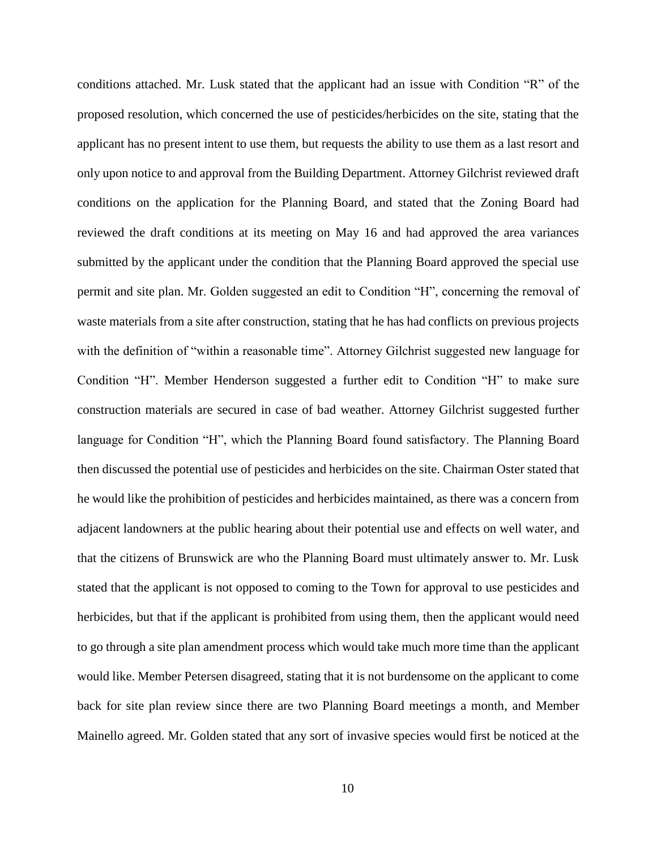conditions attached. Mr. Lusk stated that the applicant had an issue with Condition "R" of the proposed resolution, which concerned the use of pesticides/herbicides on the site, stating that the applicant has no present intent to use them, but requests the ability to use them as a last resort and only upon notice to and approval from the Building Department. Attorney Gilchrist reviewed draft conditions on the application for the Planning Board, and stated that the Zoning Board had reviewed the draft conditions at its meeting on May 16 and had approved the area variances submitted by the applicant under the condition that the Planning Board approved the special use permit and site plan. Mr. Golden suggested an edit to Condition "H", concerning the removal of waste materials from a site after construction, stating that he has had conflicts on previous projects with the definition of "within a reasonable time". Attorney Gilchrist suggested new language for Condition "H". Member Henderson suggested a further edit to Condition "H" to make sure construction materials are secured in case of bad weather. Attorney Gilchrist suggested further language for Condition "H", which the Planning Board found satisfactory. The Planning Board then discussed the potential use of pesticides and herbicides on the site. Chairman Oster stated that he would like the prohibition of pesticides and herbicides maintained, as there was a concern from adjacent landowners at the public hearing about their potential use and effects on well water, and that the citizens of Brunswick are who the Planning Board must ultimately answer to. Mr. Lusk stated that the applicant is not opposed to coming to the Town for approval to use pesticides and herbicides, but that if the applicant is prohibited from using them, then the applicant would need to go through a site plan amendment process which would take much more time than the applicant would like. Member Petersen disagreed, stating that it is not burdensome on the applicant to come back for site plan review since there are two Planning Board meetings a month, and Member Mainello agreed. Mr. Golden stated that any sort of invasive species would first be noticed at the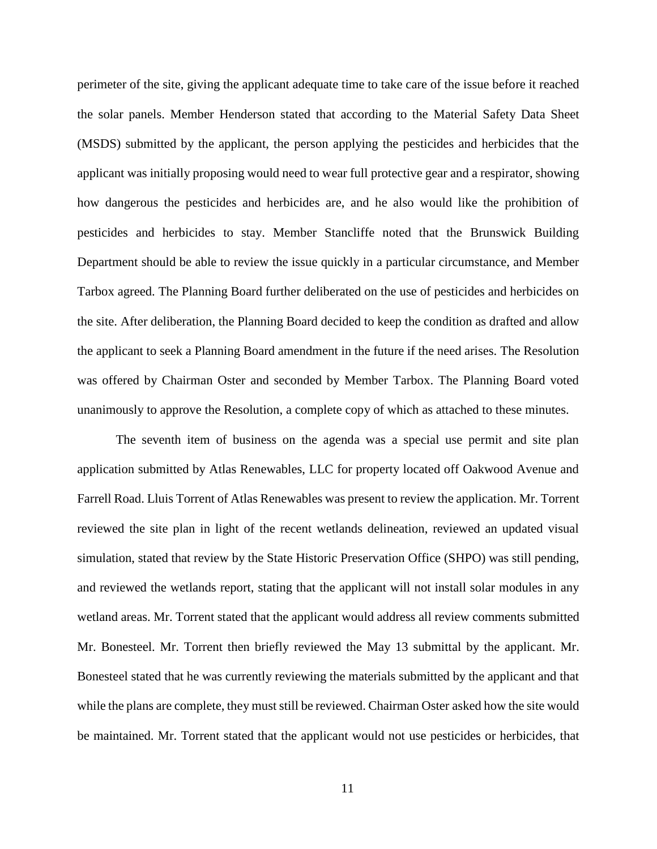perimeter of the site, giving the applicant adequate time to take care of the issue before it reached the solar panels. Member Henderson stated that according to the Material Safety Data Sheet (MSDS) submitted by the applicant, the person applying the pesticides and herbicides that the applicant was initially proposing would need to wear full protective gear and a respirator, showing how dangerous the pesticides and herbicides are, and he also would like the prohibition of pesticides and herbicides to stay. Member Stancliffe noted that the Brunswick Building Department should be able to review the issue quickly in a particular circumstance, and Member Tarbox agreed. The Planning Board further deliberated on the use of pesticides and herbicides on the site. After deliberation, the Planning Board decided to keep the condition as drafted and allow the applicant to seek a Planning Board amendment in the future if the need arises. The Resolution was offered by Chairman Oster and seconded by Member Tarbox. The Planning Board voted unanimously to approve the Resolution, a complete copy of which as attached to these minutes.

The seventh item of business on the agenda was a special use permit and site plan application submitted by Atlas Renewables, LLC for property located off Oakwood Avenue and Farrell Road. Lluis Torrent of Atlas Renewables was present to review the application. Mr. Torrent reviewed the site plan in light of the recent wetlands delineation, reviewed an updated visual simulation, stated that review by the State Historic Preservation Office (SHPO) was still pending, and reviewed the wetlands report, stating that the applicant will not install solar modules in any wetland areas. Mr. Torrent stated that the applicant would address all review comments submitted Mr. Bonesteel. Mr. Torrent then briefly reviewed the May 13 submittal by the applicant. Mr. Bonesteel stated that he was currently reviewing the materials submitted by the applicant and that while the plans are complete, they must still be reviewed. Chairman Oster asked how the site would be maintained. Mr. Torrent stated that the applicant would not use pesticides or herbicides, that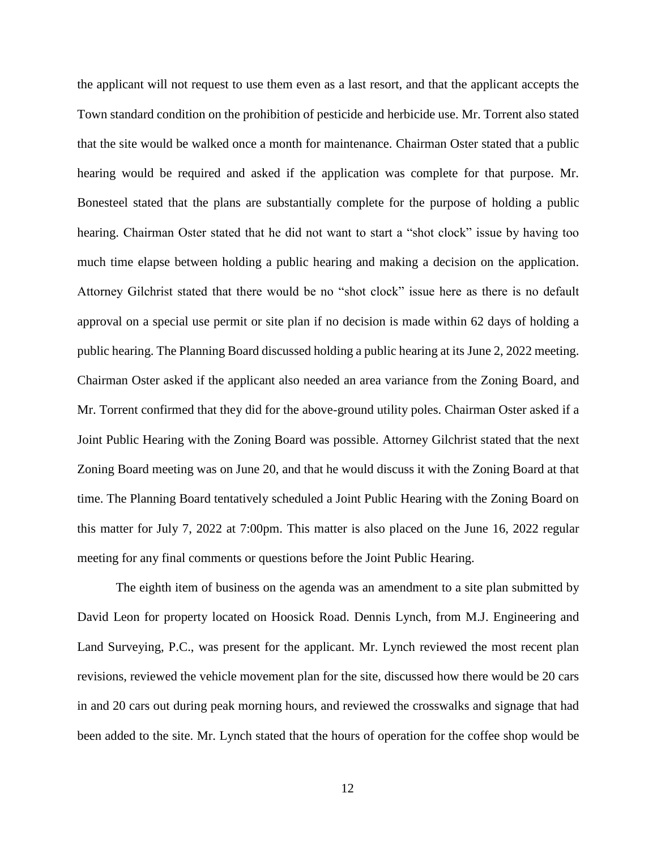the applicant will not request to use them even as a last resort, and that the applicant accepts the Town standard condition on the prohibition of pesticide and herbicide use. Mr. Torrent also stated that the site would be walked once a month for maintenance. Chairman Oster stated that a public hearing would be required and asked if the application was complete for that purpose. Mr. Bonesteel stated that the plans are substantially complete for the purpose of holding a public hearing. Chairman Oster stated that he did not want to start a "shot clock" issue by having too much time elapse between holding a public hearing and making a decision on the application. Attorney Gilchrist stated that there would be no "shot clock" issue here as there is no default approval on a special use permit or site plan if no decision is made within 62 days of holding a public hearing. The Planning Board discussed holding a public hearing at its June 2, 2022 meeting. Chairman Oster asked if the applicant also needed an area variance from the Zoning Board, and Mr. Torrent confirmed that they did for the above-ground utility poles. Chairman Oster asked if a Joint Public Hearing with the Zoning Board was possible. Attorney Gilchrist stated that the next Zoning Board meeting was on June 20, and that he would discuss it with the Zoning Board at that time. The Planning Board tentatively scheduled a Joint Public Hearing with the Zoning Board on this matter for July 7, 2022 at 7:00pm. This matter is also placed on the June 16, 2022 regular meeting for any final comments or questions before the Joint Public Hearing.

The eighth item of business on the agenda was an amendment to a site plan submitted by David Leon for property located on Hoosick Road. Dennis Lynch, from M.J. Engineering and Land Surveying, P.C., was present for the applicant. Mr. Lynch reviewed the most recent plan revisions, reviewed the vehicle movement plan for the site, discussed how there would be 20 cars in and 20 cars out during peak morning hours, and reviewed the crosswalks and signage that had been added to the site. Mr. Lynch stated that the hours of operation for the coffee shop would be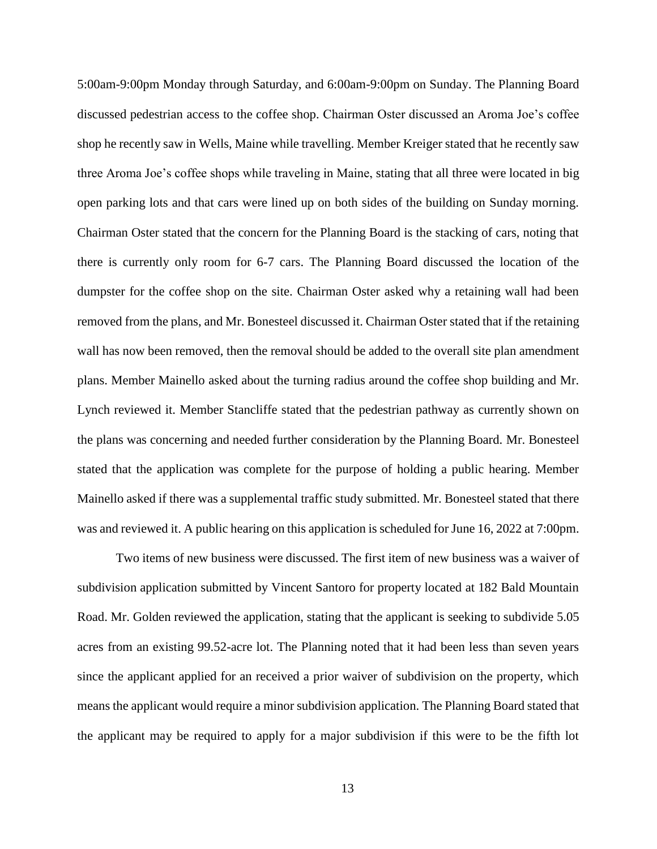5:00am-9:00pm Monday through Saturday, and 6:00am-9:00pm on Sunday. The Planning Board discussed pedestrian access to the coffee shop. Chairman Oster discussed an Aroma Joe's coffee shop he recently saw in Wells, Maine while travelling. Member Kreiger stated that he recently saw three Aroma Joe's coffee shops while traveling in Maine, stating that all three were located in big open parking lots and that cars were lined up on both sides of the building on Sunday morning. Chairman Oster stated that the concern for the Planning Board is the stacking of cars, noting that there is currently only room for 6-7 cars. The Planning Board discussed the location of the dumpster for the coffee shop on the site. Chairman Oster asked why a retaining wall had been removed from the plans, and Mr. Bonesteel discussed it. Chairman Oster stated that if the retaining wall has now been removed, then the removal should be added to the overall site plan amendment plans. Member Mainello asked about the turning radius around the coffee shop building and Mr. Lynch reviewed it. Member Stancliffe stated that the pedestrian pathway as currently shown on the plans was concerning and needed further consideration by the Planning Board. Mr. Bonesteel stated that the application was complete for the purpose of holding a public hearing. Member Mainello asked if there was a supplemental traffic study submitted. Mr. Bonesteel stated that there was and reviewed it. A public hearing on this application is scheduled for June 16, 2022 at 7:00pm.

Two items of new business were discussed. The first item of new business was a waiver of subdivision application submitted by Vincent Santoro for property located at 182 Bald Mountain Road. Mr. Golden reviewed the application, stating that the applicant is seeking to subdivide 5.05 acres from an existing 99.52-acre lot. The Planning noted that it had been less than seven years since the applicant applied for an received a prior waiver of subdivision on the property, which means the applicant would require a minor subdivision application. The Planning Board stated that the applicant may be required to apply for a major subdivision if this were to be the fifth lot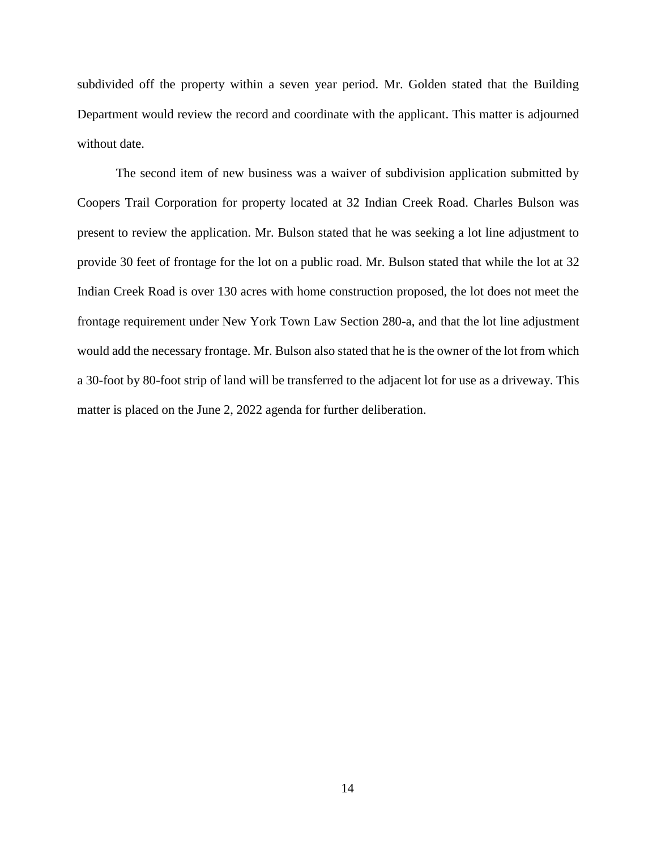subdivided off the property within a seven year period. Mr. Golden stated that the Building Department would review the record and coordinate with the applicant. This matter is adjourned without date.

The second item of new business was a waiver of subdivision application submitted by Coopers Trail Corporation for property located at 32 Indian Creek Road. Charles Bulson was present to review the application. Mr. Bulson stated that he was seeking a lot line adjustment to provide 30 feet of frontage for the lot on a public road. Mr. Bulson stated that while the lot at 32 Indian Creek Road is over 130 acres with home construction proposed, the lot does not meet the frontage requirement under New York Town Law Section 280-a, and that the lot line adjustment would add the necessary frontage. Mr. Bulson also stated that he is the owner of the lot from which a 30-foot by 80-foot strip of land will be transferred to the adjacent lot for use as a driveway. This matter is placed on the June 2, 2022 agenda for further deliberation.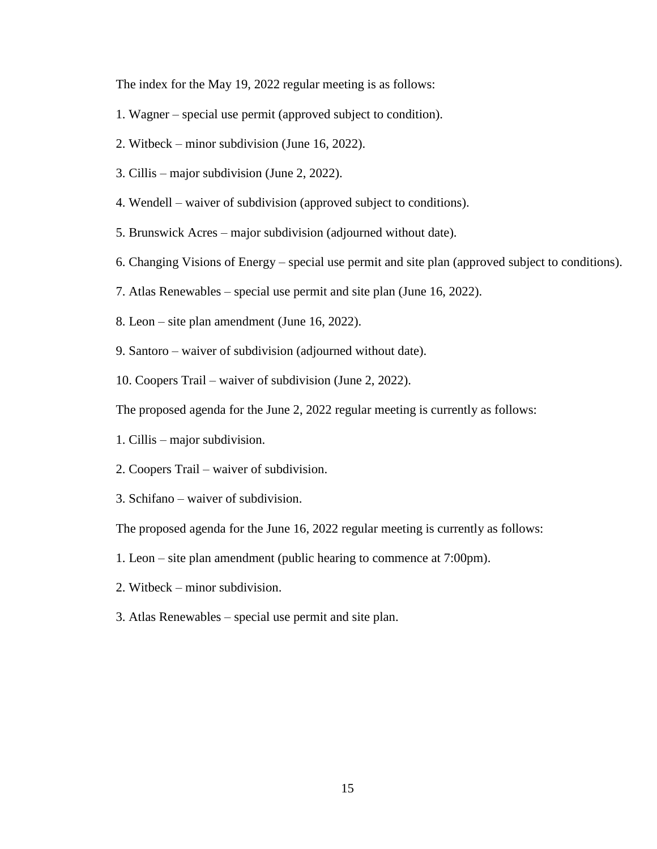The index for the May 19, 2022 regular meeting is as follows:

- 1. Wagner special use permit (approved subject to condition).
- 2. Witbeck minor subdivision (June 16, 2022).
- 3. Cillis major subdivision (June 2, 2022).
- 4. Wendell waiver of subdivision (approved subject to conditions).
- 5. Brunswick Acres major subdivision (adjourned without date).
- 6. Changing Visions of Energy special use permit and site plan (approved subject to conditions).
- 7. Atlas Renewables special use permit and site plan (June 16, 2022).
- 8. Leon site plan amendment (June 16, 2022).
- 9. Santoro waiver of subdivision (adjourned without date).
- 10. Coopers Trail waiver of subdivision (June 2, 2022).

The proposed agenda for the June 2, 2022 regular meeting is currently as follows:

- 1. Cillis major subdivision.
- 2. Coopers Trail waiver of subdivision.
- 3. Schifano waiver of subdivision.

The proposed agenda for the June 16, 2022 regular meeting is currently as follows:

- 1. Leon site plan amendment (public hearing to commence at 7:00pm).
- 2. Witbeck minor subdivision.
- 3. Atlas Renewables special use permit and site plan.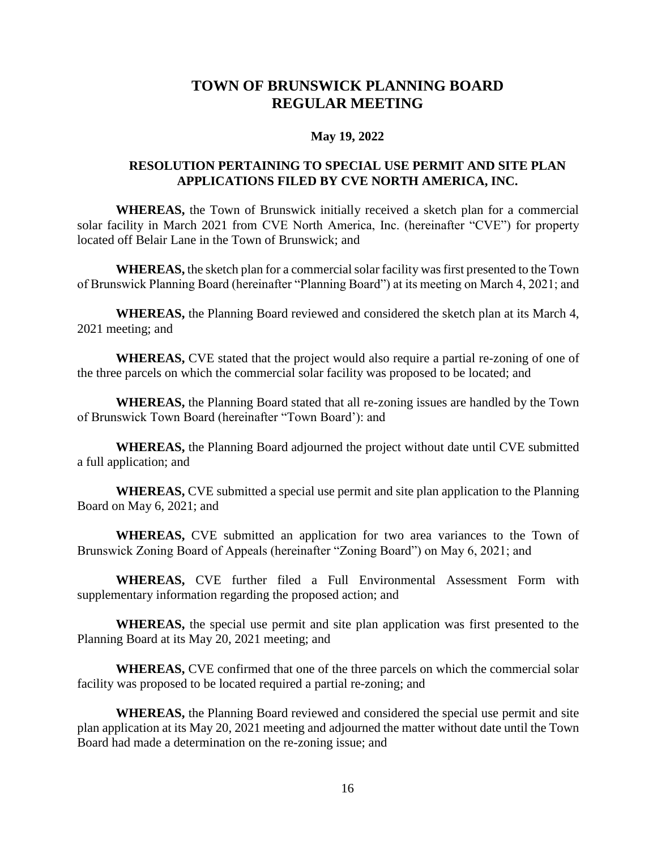## **TOWN OF BRUNSWICK PLANNING BOARD REGULAR MEETING**

#### **May 19, 2022**

## **RESOLUTION PERTAINING TO SPECIAL USE PERMIT AND SITE PLAN APPLICATIONS FILED BY CVE NORTH AMERICA, INC.**

**WHEREAS,** the Town of Brunswick initially received a sketch plan for a commercial solar facility in March 2021 from CVE North America, Inc. (hereinafter "CVE") for property located off Belair Lane in the Town of Brunswick; and

**WHEREAS,** the sketch plan for a commercial solar facility was first presented to the Town of Brunswick Planning Board (hereinafter "Planning Board") at its meeting on March 4, 2021; and

**WHEREAS,** the Planning Board reviewed and considered the sketch plan at its March 4, 2021 meeting; and

**WHEREAS,** CVE stated that the project would also require a partial re-zoning of one of the three parcels on which the commercial solar facility was proposed to be located; and

**WHEREAS,** the Planning Board stated that all re-zoning issues are handled by the Town of Brunswick Town Board (hereinafter "Town Board'): and

**WHEREAS,** the Planning Board adjourned the project without date until CVE submitted a full application; and

**WHEREAS,** CVE submitted a special use permit and site plan application to the Planning Board on May 6, 2021; and

**WHEREAS,** CVE submitted an application for two area variances to the Town of Brunswick Zoning Board of Appeals (hereinafter "Zoning Board") on May 6, 2021; and

**WHEREAS,** CVE further filed a Full Environmental Assessment Form with supplementary information regarding the proposed action; and

**WHEREAS,** the special use permit and site plan application was first presented to the Planning Board at its May 20, 2021 meeting; and

**WHEREAS,** CVE confirmed that one of the three parcels on which the commercial solar facility was proposed to be located required a partial re-zoning; and

**WHEREAS,** the Planning Board reviewed and considered the special use permit and site plan application at its May 20, 2021 meeting and adjourned the matter without date until the Town Board had made a determination on the re-zoning issue; and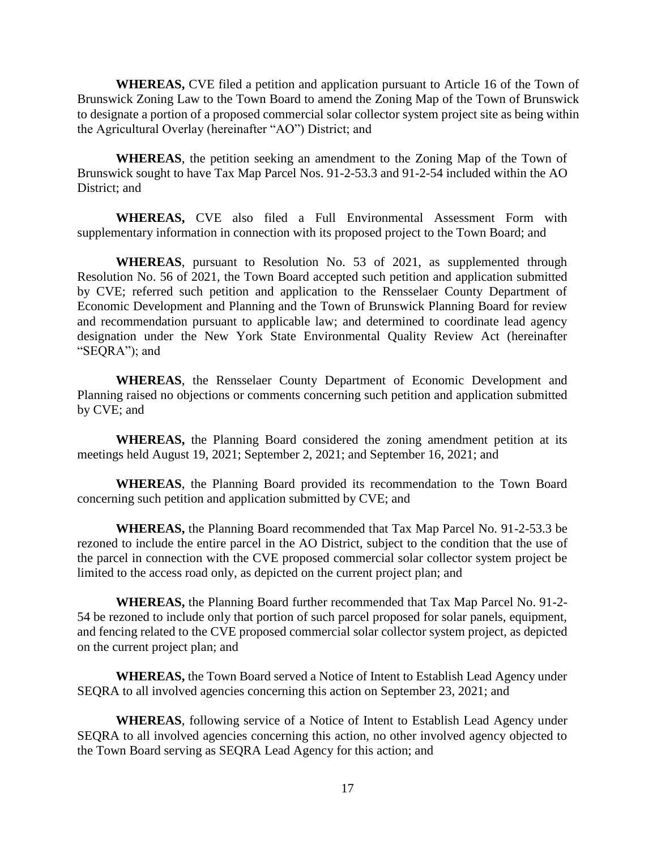**WHEREAS,** CVE filed a petition and application pursuant to Article 16 of the Town of Brunswick Zoning Law to the Town Board to amend the Zoning Map of the Town of Brunswick to designate a portion of a proposed commercial solar collector system project site as being within the Agricultural Overlay (hereinafter "AO") District; and

**WHEREAS**, the petition seeking an amendment to the Zoning Map of the Town of Brunswick sought to have Tax Map Parcel Nos. 91-2-53.3 and 91-2-54 included within the AO District; and

**WHEREAS,** CVE also filed a Full Environmental Assessment Form with supplementary information in connection with its proposed project to the Town Board; and

**WHEREAS**, pursuant to Resolution No. 53 of 2021, as supplemented through Resolution No. 56 of 2021, the Town Board accepted such petition and application submitted by CVE; referred such petition and application to the Rensselaer County Department of Economic Development and Planning and the Town of Brunswick Planning Board for review and recommendation pursuant to applicable law; and determined to coordinate lead agency designation under the New York State Environmental Quality Review Act (hereinafter "SEQRA"); and

**WHEREAS**, the Rensselaer County Department of Economic Development and Planning raised no objections or comments concerning such petition and application submitted by CVE; and

**WHEREAS,** the Planning Board considered the zoning amendment petition at its meetings held August 19, 2021; September 2, 2021; and September 16, 2021; and

**WHEREAS**, the Planning Board provided its recommendation to the Town Board concerning such petition and application submitted by CVE; and

**WHEREAS,** the Planning Board recommended that Tax Map Parcel No. 91-2-53.3 be rezoned to include the entire parcel in the AO District, subject to the condition that the use of the parcel in connection with the CVE proposed commercial solar collector system project be limited to the access road only, as depicted on the current project plan; and

**WHEREAS,** the Planning Board further recommended that Tax Map Parcel No. 91-2- 54 be rezoned to include only that portion of such parcel proposed for solar panels, equipment, and fencing related to the CVE proposed commercial solar collector system project, as depicted on the current project plan; and

**WHEREAS,** the Town Board served a Notice of Intent to Establish Lead Agency under SEQRA to all involved agencies concerning this action on September 23, 2021; and

**WHEREAS**, following service of a Notice of Intent to Establish Lead Agency under SEQRA to all involved agencies concerning this action, no other involved agency objected to the Town Board serving as SEQRA Lead Agency for this action; and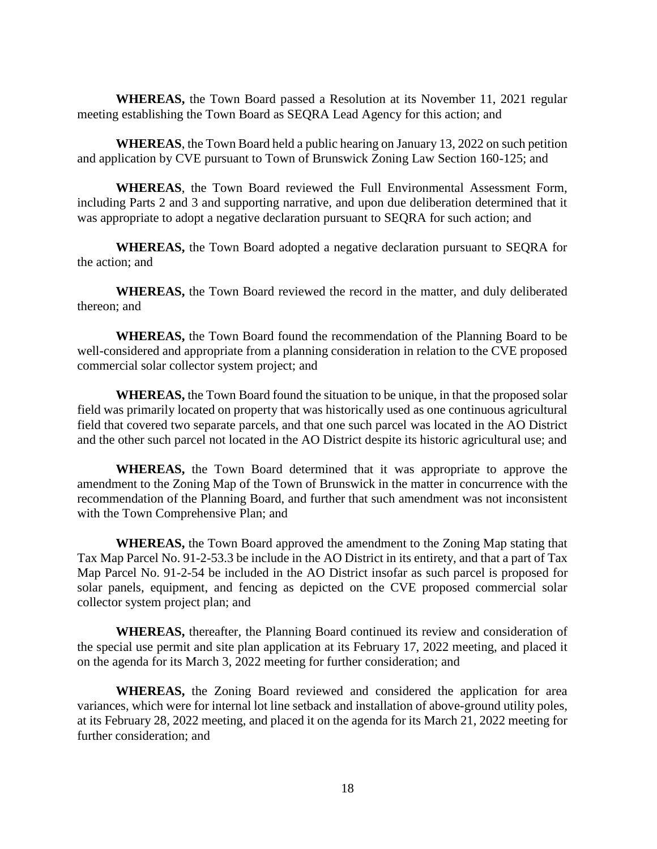**WHEREAS,** the Town Board passed a Resolution at its November 11, 2021 regular meeting establishing the Town Board as SEQRA Lead Agency for this action; and

**WHEREAS**, the Town Board held a public hearing on January 13, 2022 on such petition and application by CVE pursuant to Town of Brunswick Zoning Law Section 160-125; and

**WHEREAS**, the Town Board reviewed the Full Environmental Assessment Form, including Parts 2 and 3 and supporting narrative, and upon due deliberation determined that it was appropriate to adopt a negative declaration pursuant to SEQRA for such action; and

**WHEREAS,** the Town Board adopted a negative declaration pursuant to SEQRA for the action; and

**WHEREAS,** the Town Board reviewed the record in the matter, and duly deliberated thereon; and

**WHEREAS,** the Town Board found the recommendation of the Planning Board to be well-considered and appropriate from a planning consideration in relation to the CVE proposed commercial solar collector system project; and

**WHEREAS,** the Town Board found the situation to be unique, in that the proposed solar field was primarily located on property that was historically used as one continuous agricultural field that covered two separate parcels, and that one such parcel was located in the AO District and the other such parcel not located in the AO District despite its historic agricultural use; and

**WHEREAS,** the Town Board determined that it was appropriate to approve the amendment to the Zoning Map of the Town of Brunswick in the matter in concurrence with the recommendation of the Planning Board, and further that such amendment was not inconsistent with the Town Comprehensive Plan; and

**WHEREAS,** the Town Board approved the amendment to the Zoning Map stating that Tax Map Parcel No. 91-2-53.3 be include in the AO District in its entirety, and that a part of Tax Map Parcel No. 91-2-54 be included in the AO District insofar as such parcel is proposed for solar panels, equipment, and fencing as depicted on the CVE proposed commercial solar collector system project plan; and

**WHEREAS,** thereafter, the Planning Board continued its review and consideration of the special use permit and site plan application at its February 17, 2022 meeting, and placed it on the agenda for its March 3, 2022 meeting for further consideration; and

**WHEREAS,** the Zoning Board reviewed and considered the application for area variances, which were for internal lot line setback and installation of above-ground utility poles, at its February 28, 2022 meeting, and placed it on the agenda for its March 21, 2022 meeting for further consideration; and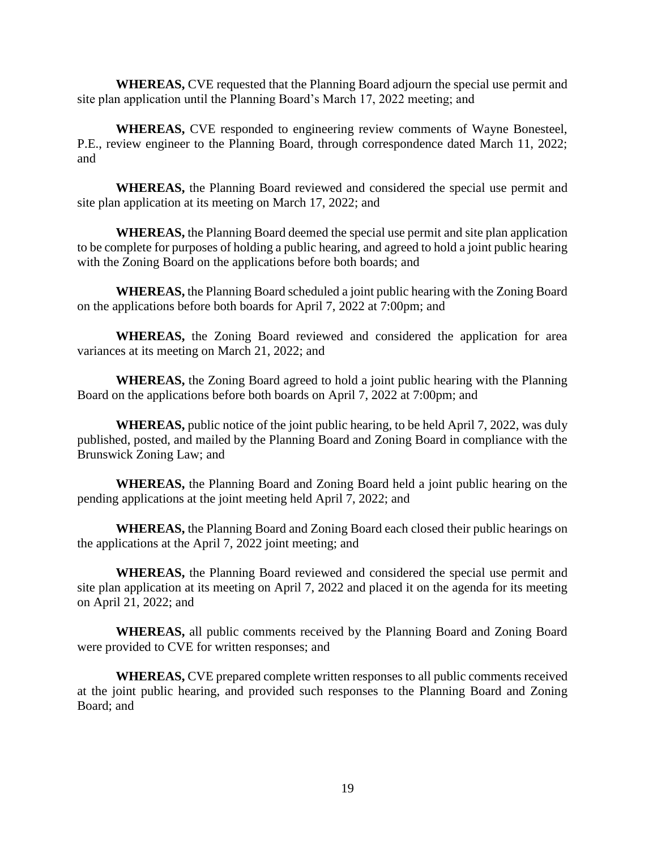**WHEREAS,** CVE requested that the Planning Board adjourn the special use permit and site plan application until the Planning Board's March 17, 2022 meeting; and

**WHEREAS,** CVE responded to engineering review comments of Wayne Bonesteel, P.E., review engineer to the Planning Board, through correspondence dated March 11, 2022; and

**WHEREAS,** the Planning Board reviewed and considered the special use permit and site plan application at its meeting on March 17, 2022; and

**WHEREAS,** the Planning Board deemed the special use permit and site plan application to be complete for purposes of holding a public hearing, and agreed to hold a joint public hearing with the Zoning Board on the applications before both boards; and

**WHEREAS,** the Planning Board scheduled a joint public hearing with the Zoning Board on the applications before both boards for April 7, 2022 at 7:00pm; and

**WHEREAS,** the Zoning Board reviewed and considered the application for area variances at its meeting on March 21, 2022; and

**WHEREAS,** the Zoning Board agreed to hold a joint public hearing with the Planning Board on the applications before both boards on April 7, 2022 at 7:00pm; and

**WHEREAS,** public notice of the joint public hearing, to be held April 7, 2022, was duly published, posted, and mailed by the Planning Board and Zoning Board in compliance with the Brunswick Zoning Law; and

**WHEREAS,** the Planning Board and Zoning Board held a joint public hearing on the pending applications at the joint meeting held April 7, 2022; and

**WHEREAS,** the Planning Board and Zoning Board each closed their public hearings on the applications at the April 7, 2022 joint meeting; and

**WHEREAS,** the Planning Board reviewed and considered the special use permit and site plan application at its meeting on April 7, 2022 and placed it on the agenda for its meeting on April 21, 2022; and

**WHEREAS,** all public comments received by the Planning Board and Zoning Board were provided to CVE for written responses; and

**WHEREAS,** CVE prepared complete written responses to all public comments received at the joint public hearing, and provided such responses to the Planning Board and Zoning Board; and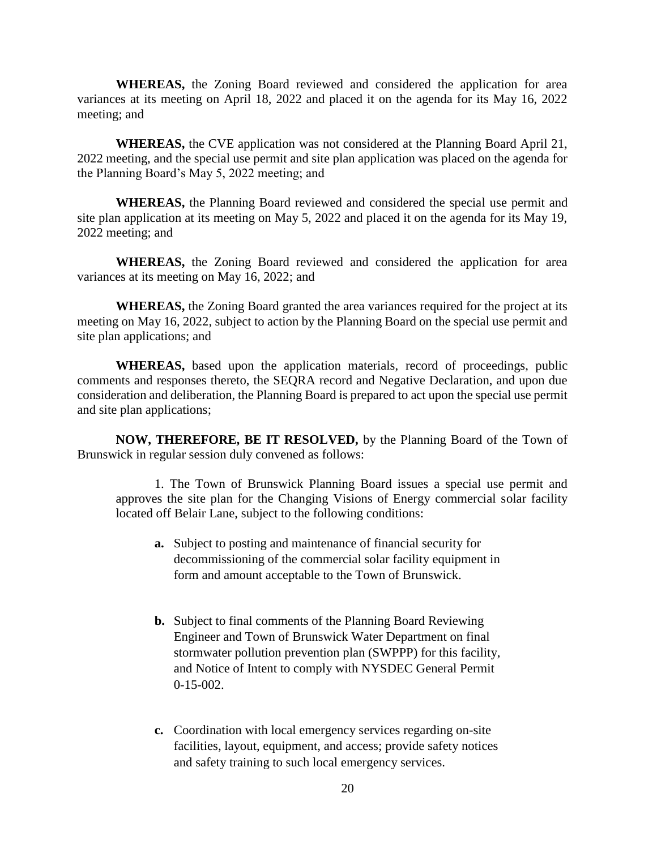**WHEREAS,** the Zoning Board reviewed and considered the application for area variances at its meeting on April 18, 2022 and placed it on the agenda for its May 16, 2022 meeting; and

**WHEREAS,** the CVE application was not considered at the Planning Board April 21, 2022 meeting, and the special use permit and site plan application was placed on the agenda for the Planning Board's May 5, 2022 meeting; and

**WHEREAS,** the Planning Board reviewed and considered the special use permit and site plan application at its meeting on May 5, 2022 and placed it on the agenda for its May 19, 2022 meeting; and

**WHEREAS,** the Zoning Board reviewed and considered the application for area variances at its meeting on May 16, 2022; and

**WHEREAS,** the Zoning Board granted the area variances required for the project at its meeting on May 16, 2022, subject to action by the Planning Board on the special use permit and site plan applications; and

**WHEREAS,** based upon the application materials, record of proceedings, public comments and responses thereto, the SEQRA record and Negative Declaration, and upon due consideration and deliberation, the Planning Board is prepared to act upon the special use permit and site plan applications;

**NOW, THEREFORE, BE IT RESOLVED,** by the Planning Board of the Town of Brunswick in regular session duly convened as follows:

1. The Town of Brunswick Planning Board issues a special use permit and approves the site plan for the Changing Visions of Energy commercial solar facility located off Belair Lane, subject to the following conditions:

- **a.** Subject to posting and maintenance of financial security for decommissioning of the commercial solar facility equipment in form and amount acceptable to the Town of Brunswick.
- **b.** Subject to final comments of the Planning Board Reviewing Engineer and Town of Brunswick Water Department on final stormwater pollution prevention plan (SWPPP) for this facility, and Notice of Intent to comply with NYSDEC General Permit 0-15-002.
- **c.** Coordination with local emergency services regarding on-site facilities, layout, equipment, and access; provide safety notices and safety training to such local emergency services.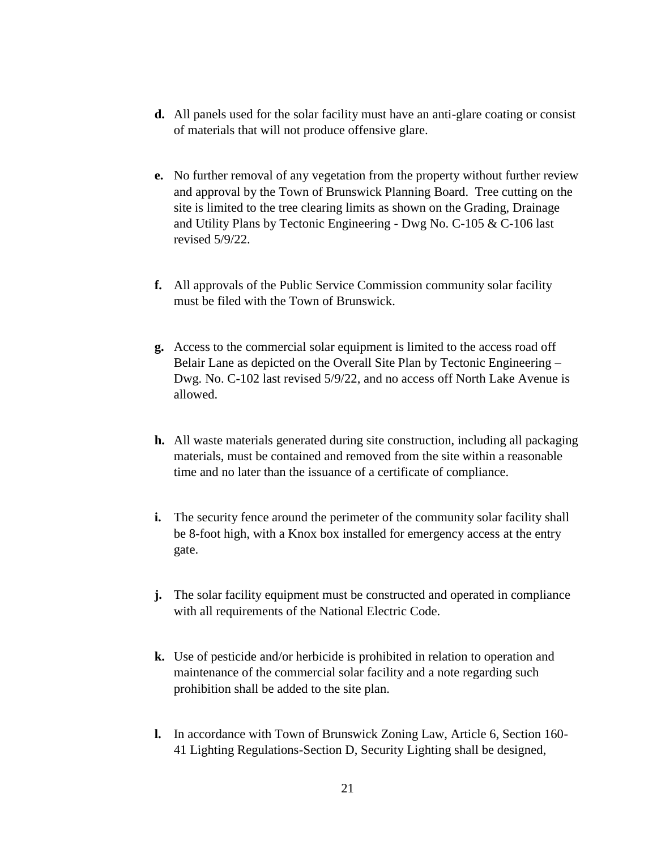- **d.** All panels used for the solar facility must have an anti-glare coating or consist of materials that will not produce offensive glare.
- **e.** No further removal of any vegetation from the property without further review and approval by the Town of Brunswick Planning Board. Tree cutting on the site is limited to the tree clearing limits as shown on the Grading, Drainage and Utility Plans by Tectonic Engineering - Dwg No. C-105 & C-106 last revised 5/9/22.
- **f.** All approvals of the Public Service Commission community solar facility must be filed with the Town of Brunswick.
- **g.** Access to the commercial solar equipment is limited to the access road off Belair Lane as depicted on the Overall Site Plan by Tectonic Engineering – Dwg. No. C-102 last revised 5/9/22, and no access off North Lake Avenue is allowed.
- **h.** All waste materials generated during site construction, including all packaging materials, must be contained and removed from the site within a reasonable time and no later than the issuance of a certificate of compliance.
- **i.** The security fence around the perimeter of the community solar facility shall be 8-foot high, with a Knox box installed for emergency access at the entry gate.
- **j.** The solar facility equipment must be constructed and operated in compliance with all requirements of the National Electric Code.
- **k.** Use of pesticide and/or herbicide is prohibited in relation to operation and maintenance of the commercial solar facility and a note regarding such prohibition shall be added to the site plan.
- **l.** In accordance with Town of Brunswick Zoning Law, Article 6, Section 160- 41 Lighting Regulations-Section D, Security Lighting shall be designed,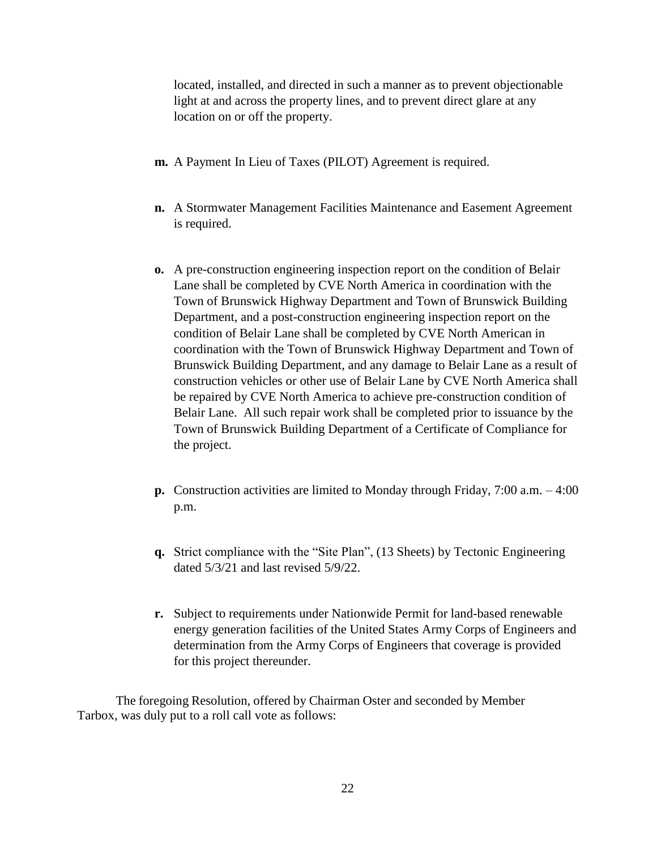located, installed, and directed in such a manner as to prevent objectionable light at and across the property lines, and to prevent direct glare at any location on or off the property.

- **m.** A Payment In Lieu of Taxes (PILOT) Agreement is required.
- **n.** A Stormwater Management Facilities Maintenance and Easement Agreement is required.
- **o.** A pre-construction engineering inspection report on the condition of Belair Lane shall be completed by CVE North America in coordination with the Town of Brunswick Highway Department and Town of Brunswick Building Department, and a post-construction engineering inspection report on the condition of Belair Lane shall be completed by CVE North American in coordination with the Town of Brunswick Highway Department and Town of Brunswick Building Department, and any damage to Belair Lane as a result of construction vehicles or other use of Belair Lane by CVE North America shall be repaired by CVE North America to achieve pre-construction condition of Belair Lane. All such repair work shall be completed prior to issuance by the Town of Brunswick Building Department of a Certificate of Compliance for the project.
- **p.** Construction activities are limited to Monday through Friday, 7:00 a.m. 4:00 p.m.
- **q.** Strict compliance with the "Site Plan", (13 Sheets) by Tectonic Engineering dated 5/3/21 and last revised 5/9/22.
- **r.** Subject to requirements under Nationwide Permit for land-based renewable energy generation facilities of the United States Army Corps of Engineers and determination from the Army Corps of Engineers that coverage is provided for this project thereunder.

The foregoing Resolution, offered by Chairman Oster and seconded by Member Tarbox, was duly put to a roll call vote as follows: